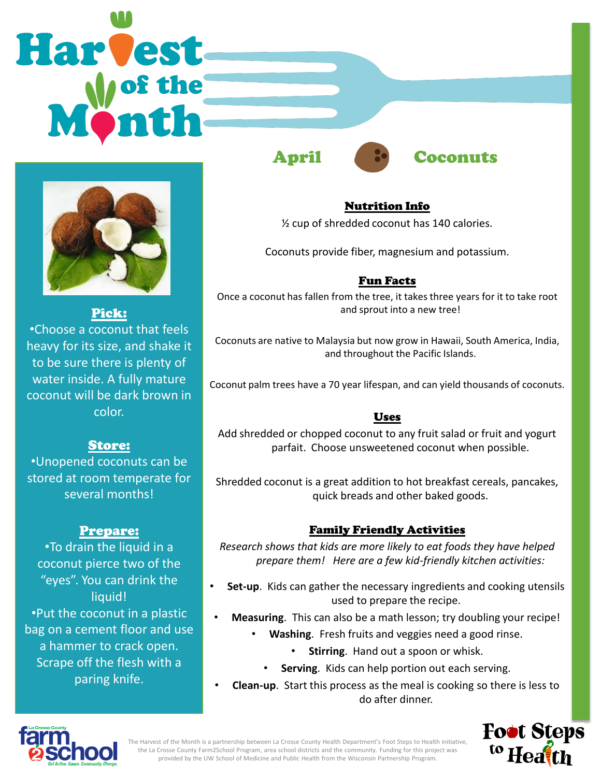# **Harvest**



Pick: •Choose a coconut that feels heavy for its size, and shake it to be sure there is plenty of water inside. A fully mature coconut will be dark brown in color.

# Store:

•Unopened coconuts can be stored at room temperate for several months!

# Prepare:

•To drain the liquid in a coconut pierce two of the "eyes". You can drink the liquid! •Put the coconut in a plastic bag on a cement floor and use a hammer to crack open. Scrape off the flesh with a paring knife.

April Coconuts



#### Nutrition Info

½ cup of shredded coconut has 140 calories.

Coconuts provide fiber, magnesium and potassium.

#### Fun Facts

Once a coconut has fallen from the tree, it takes three years for it to take root and sprout into a new tree!

Coconuts are native to Malaysia but now grow in Hawaii, South America, India, and throughout the Pacific Islands.

Coconut palm trees have a 70 year lifespan, and can yield thousands of coconuts.

#### Uses

Add shredded or chopped coconut to any fruit salad or fruit and yogurt parfait. Choose unsweetened coconut when possible.

Shredded coconut is a great addition to hot breakfast cereals, pancakes, quick breads and other baked goods.

### Family Friendly Activities

*Research shows that kids are more likely to eat foods they have helped prepare them! Here are a few kid-friendly kitchen activities:*

- **Set-up**. Kids can gather the necessary ingredients and cooking utensils used to prepare the recipe.
- **Measuring**. This can also be a math lesson; try doubling your recipe!
	- **Washing**. Fresh fruits and veggies need a good rinse.
		- **Stirring**. Hand out a spoon or whisk.
		- **Serving**. Kids can help portion out each serving.
- **Clean-up**. Start this process as the meal is cooking so there is less to do after dinner.



The Harvest of the Month is a partnership between La Crosse County Health Department's Foot Steps to Health initiative, the La Crosse County Farm2School Program, area school districts and the community. Funding for this project was provided by the UW School of Medicine and Public Health from the Wisconsin Partnership Program.